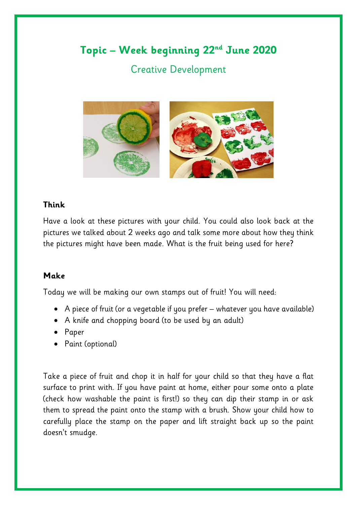## **Topic – Week beginning 22nd June 2020**

## Creative Development



## **Think**

Have a look at these pictures with your child. You could also look back at the pictures we talked about 2 weeks ago and talk some more about how they think the pictures might have been made. What is the fruit being used for here?

## **Make**

Today we will be making our own stamps out of fruit! You will need:

- A piece of fruit (or a vegetable if you prefer whatever you have available)
- A knife and chopping board (to be used by an adult)
- Paper
- Paint (optional)

Take a piece of fruit and chop it in half for your child so that they have a flat surface to print with. If you have paint at home, either pour some onto a plate (check how washable the paint is first!) so they can dip their stamp in or ask them to spread the paint onto the stamp with a brush. Show your child how to carefully place the stamp on the paper and lift straight back up so the paint doesn't smudge.